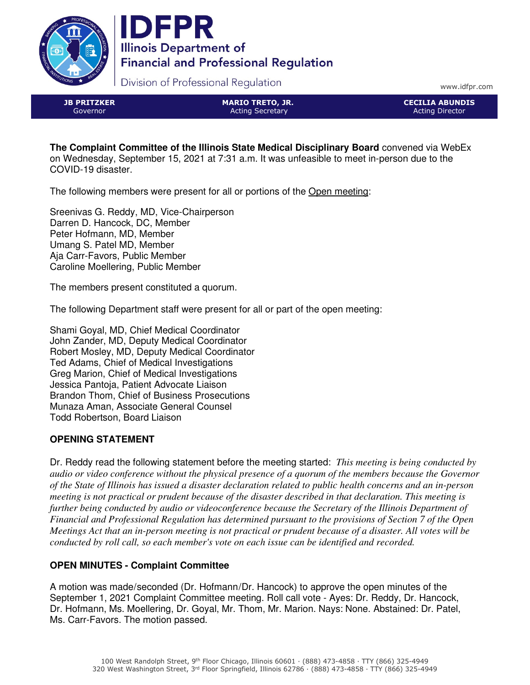



Division of Professional Regulation

www.idfpr.com

JB PRITZKER Governor

MARIO TRETO, JR. Acting Secretary

CECILIA ABUNDIS Acting Director

**The Complaint Committee of the Illinois State Medical Disciplinary Board** convened via WebEx on Wednesday, September 15, 2021 at 7:31 a.m. It was unfeasible to meet in-person due to the COVID-19 disaster.

The following members were present for all or portions of the Open meeting:

Sreenivas G. Reddy, MD, Vice-Chairperson Darren D. Hancock, DC, Member Peter Hofmann, MD, Member Umang S. Patel MD, Member Aja Carr-Favors, Public Member Caroline Moellering, Public Member

The members present constituted a quorum.

The following Department staff were present for all or part of the open meeting:

Shami Goyal, MD, Chief Medical Coordinator John Zander, MD, Deputy Medical Coordinator Robert Mosley, MD, Deputy Medical Coordinator Ted Adams, Chief of Medical Investigations Greg Marion, Chief of Medical Investigations Jessica Pantoja, Patient Advocate Liaison Brandon Thom, Chief of Business Prosecutions Munaza Aman, Associate General Counsel Todd Robertson, Board Liaison

# **OPENING STATEMENT**

Dr. Reddy read the following statement before the meeting started: *This meeting is being conducted by audio or video conference without the physical presence of a quorum of the members because the Governor of the State of Illinois has issued a disaster declaration related to public health concerns and an in-person meeting is not practical or prudent because of the disaster described in that declaration. This meeting is further being conducted by audio or videoconference because the Secretary of the Illinois Department of Financial and Professional Regulation has determined pursuant to the provisions of Section 7 of the Open Meetings Act that an in-person meeting is not practical or prudent because of a disaster. All votes will be conducted by roll call, so each member's vote on each issue can be identified and recorded.*

# **OPEN MINUTES - Complaint Committee**

A motion was made/seconded (Dr. Hofmann /Dr. Hancock) to approve the open minutes of the September 1, 2021 Complaint Committee meeting. Roll call vote - Ayes: Dr. Reddy, Dr. Hancock, Dr. Hofmann, Ms. Moellering, Dr. Goyal, Mr. Thom, Mr. Marion. Nays: None. Abstained: Dr. Patel, Ms. Carr-Favors. The motion passed.